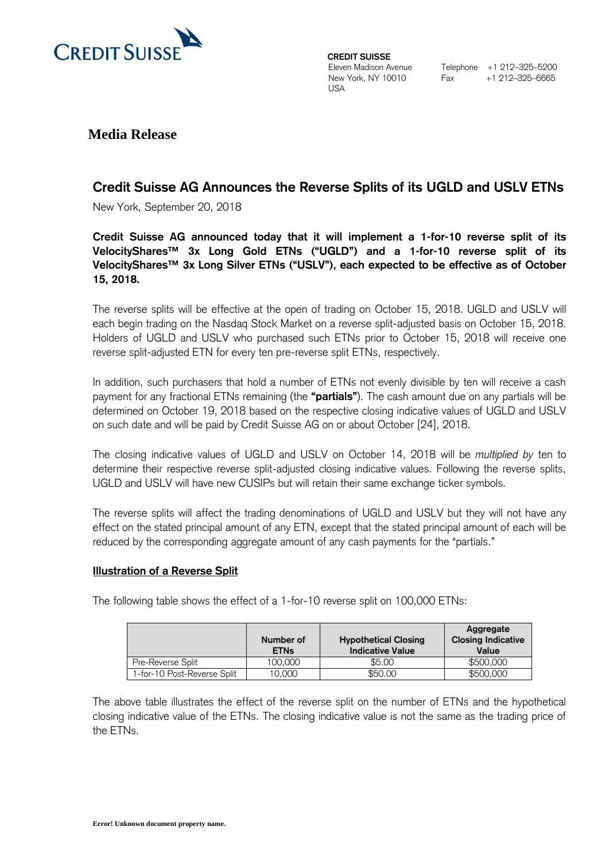

**CREDIT SUISSE**  Eleven Madison Avenue New York, NY 10010 USA

**Media Release**

# **Credit Suisse AG Announces the Reverse Splits of its UGLD and USLV ETNs**

New York, September 20, 2018

**Credit Suisse AG announced today that it will implement a 1-for-10 reverse split of its VelocityShares™ 3x Long Gold ETNs ("UGLD") and a 1-for-10 reverse split of its VelocityShares™ 3x Long Silver ETNs ("USLV"), each expected to be effective as of October 15, 2018.**

The reverse splits will be effective at the open of trading on October 15, 2018. UGLD and USLV will each begin trading on the Nasdaq Stock Market on a reverse split-adjusted basis on October 15, 2018. Holders of UGLD and USLV who purchased such ETNs prior to October 15, 2018 will receive one reverse split-adjusted ETN for every ten pre-reverse split ETNs, respectively.

In addition, such purchasers that hold a number of ETNs not evenly divisible by ten will receive a cash payment for any fractional ETNs remaining (the **"partials"**). The cash amount due on any partials will be determined on October 19, 2018 based on the respective closing indicative values of UGLD and USLV on such date and will be paid by Credit Suisse AG on or about October [24], 2018.

The closing indicative values of UGLD and USLV on October 14, 2018 will be *multiplied by* ten to determine their respective reverse split-adjusted closing indicative values. Following the reverse splits, UGLD and USLV will have new CUSIPs but will retain their same exchange ticker symbols.

The reverse splits will affect the trading denominations of UGLD and USLV but they will not have any effect on the stated principal amount of any ETN, except that the stated principal amount of each will be reduced by the corresponding aggregate amount of any cash payments for the "partials."

## **Illustration of a Reverse Split**

The following table shows the effect of a 1-for-10 reverse split on 100,000 ETNs:

|                             | Number of<br><b>ETNs</b> | <b>Hypothetical Closing</b><br><b>Indicative Value</b> | Aggregate<br><b>Closing Indicative</b><br>Value |
|-----------------------------|--------------------------|--------------------------------------------------------|-------------------------------------------------|
| Pre-Reverse Split           | 100.000                  | \$5.00                                                 | \$500,000                                       |
| 1-for-10 Post-Reverse Split | 10.000                   | \$50.00                                                | \$500,000                                       |

The above table illustrates the effect of the reverse split on the number of ETNs and the hypothetical closing indicative value of the ETNs. The closing indicative value is not the same as the trading price of the ETNs.